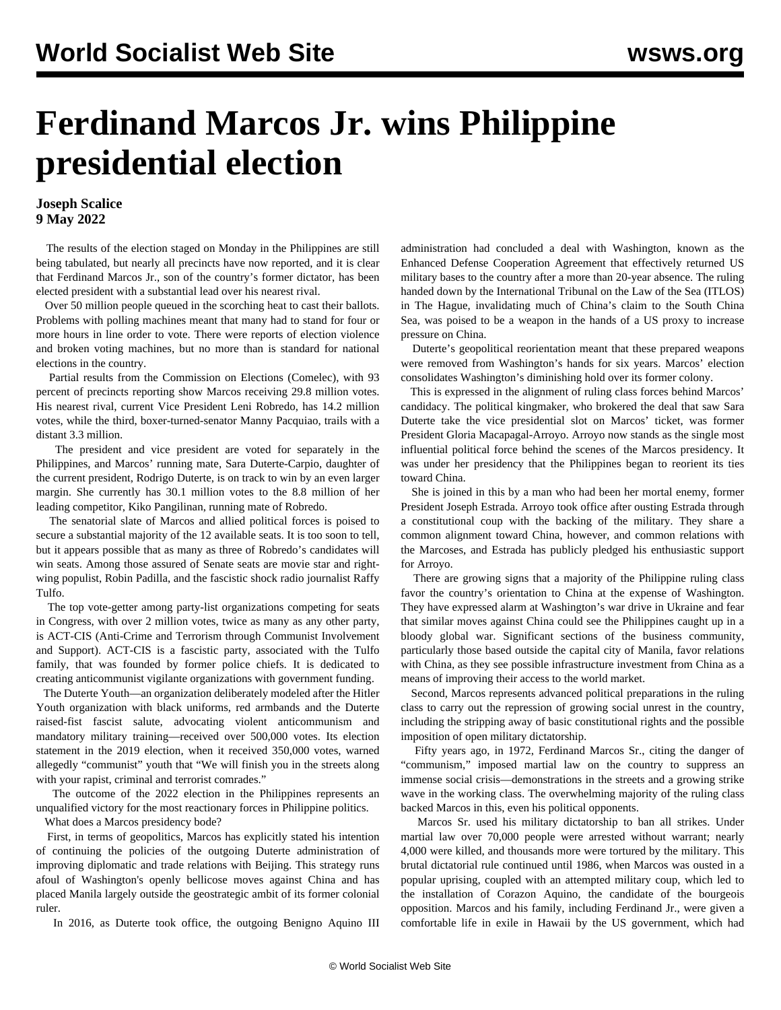## **Ferdinand Marcos Jr. wins Philippine presidential election**

## **Joseph Scalice 9 May 2022**

 The results of the election staged on Monday in the Philippines are still being tabulated, but nearly all precincts have now reported, and it is clear that Ferdinand Marcos Jr., son of the country's former dictator, has been elected president with a substantial lead over his nearest rival.

 Over 50 million people queued in the scorching heat to cast their ballots. Problems with polling machines meant that many had to stand for four or more hours in line order to vote. There were reports of election violence and broken voting machines, but no more than is standard for national elections in the country.

 Partial results from the Commission on Elections (Comelec), with 93 percent of precincts reporting show Marcos receiving 29.8 million votes. His nearest rival, current Vice President Leni Robredo, has 14.2 million votes, while the third, boxer-turned-senator Manny Pacquiao, trails with a distant 3.3 million.

 The president and vice president are voted for separately in the Philippines, and Marcos' running mate, Sara Duterte-Carpio, daughter of the current president, Rodrigo Duterte, is on track to win by an even larger margin. She currently has 30.1 million votes to the 8.8 million of her leading competitor, Kiko Pangilinan, running mate of Robredo.

 The senatorial slate of Marcos and allied political forces is poised to secure a substantial majority of the 12 available seats. It is too soon to tell, but it appears possible that as many as three of Robredo's candidates will win seats. Among those assured of Senate seats are movie star and rightwing populist, Robin Padilla, and the fascistic shock radio journalist Raffy Tulfo.

 The top vote-getter among party-list organizations competing for seats in Congress, with over 2 million votes, twice as many as any other party, is ACT-CIS (Anti-Crime and Terrorism through Communist Involvement and Support). ACT-CIS is a fascistic party, associated with the Tulfo family, that was founded by former police chiefs. It is dedicated to creating anticommunist vigilante organizations with government funding.

 The Duterte Youth—an organization deliberately modeled after the Hitler Youth organization with black uniforms, red armbands and the Duterte raised-fist fascist salute, advocating violent anticommunism and mandatory military training—received over 500,000 votes. Its election statement in the 2019 election, when it received 350,000 votes, warned allegedly "communist" youth that "We will finish you in the streets along with your rapist, criminal and terrorist comrades."

 The outcome of the 2022 election in the Philippines represents an unqualified victory for the most reactionary forces in Philippine politics.

What does a Marcos presidency bode?

 First, in terms of geopolitics, Marcos has explicitly stated his intention of continuing the policies of the outgoing Duterte administration of improving diplomatic and trade relations with Beijing. This strategy runs afoul of Washington's openly bellicose moves against China and has placed Manila largely outside the geostrategic ambit of its former colonial ruler.

In 2016, as Duterte took office, the outgoing Benigno Aquino III

administration had concluded a deal with Washington, known as the Enhanced Defense Cooperation Agreement that effectively returned US military bases to the country after a more than 20-year absence. The ruling handed down by the International Tribunal on the Law of the Sea (ITLOS) in The Hague, invalidating much of China's claim to the South China Sea, was poised to be a weapon in the hands of a US proxy to increase pressure on China.

 Duterte's geopolitical reorientation meant that these prepared weapons were removed from Washington's hands for six years. Marcos' election consolidates Washington's diminishing hold over its former colony.

 This is expressed in the alignment of ruling class forces behind Marcos' candidacy. The political kingmaker, who brokered the deal that saw Sara Duterte take the vice presidential slot on Marcos' ticket, was former President Gloria Macapagal-Arroyo. Arroyo now stands as the single most influential political force behind the scenes of the Marcos presidency. It was under her presidency that the Philippines began to reorient its ties toward China.

 She is joined in this by a man who had been her mortal enemy, former President Joseph Estrada. Arroyo took office after ousting Estrada through a constitutional coup with the backing of the military. They share a common alignment toward China, however, and common relations with the Marcoses, and Estrada has publicly pledged his enthusiastic support for Arroyo.

 There are growing signs that a majority of the Philippine ruling class favor the country's orientation to China at the expense of Washington. They have expressed alarm at Washington's war drive in Ukraine and fear that similar moves against China could see the Philippines caught up in a bloody global war. Significant sections of the business community, particularly those based outside the capital city of Manila, favor relations with China, as they see possible infrastructure investment from China as a means of improving their access to the world market.

 Second, Marcos represents advanced political preparations in the ruling class to carry out the repression of growing social unrest in the country, including the stripping away of basic constitutional rights and the possible imposition of open military dictatorship.

 Fifty years ago, in 1972, Ferdinand Marcos Sr., citing the danger of "communism," imposed martial law on the country to suppress an immense social crisis—demonstrations in the streets and a growing strike wave in the working class. The overwhelming majority of the ruling class backed Marcos in this, even his political opponents.

 Marcos Sr. used his military dictatorship to ban all strikes. Under martial law over 70,000 people were arrested without warrant; nearly 4,000 were killed, and thousands more were tortured by the military. This brutal dictatorial rule continued until 1986, when Marcos was ousted in a popular uprising, coupled with an attempted military coup, which led to the installation of Corazon Aquino, the candidate of the bourgeois opposition. Marcos and his family, including Ferdinand Jr., were given a comfortable life in exile in Hawaii by the US government, which had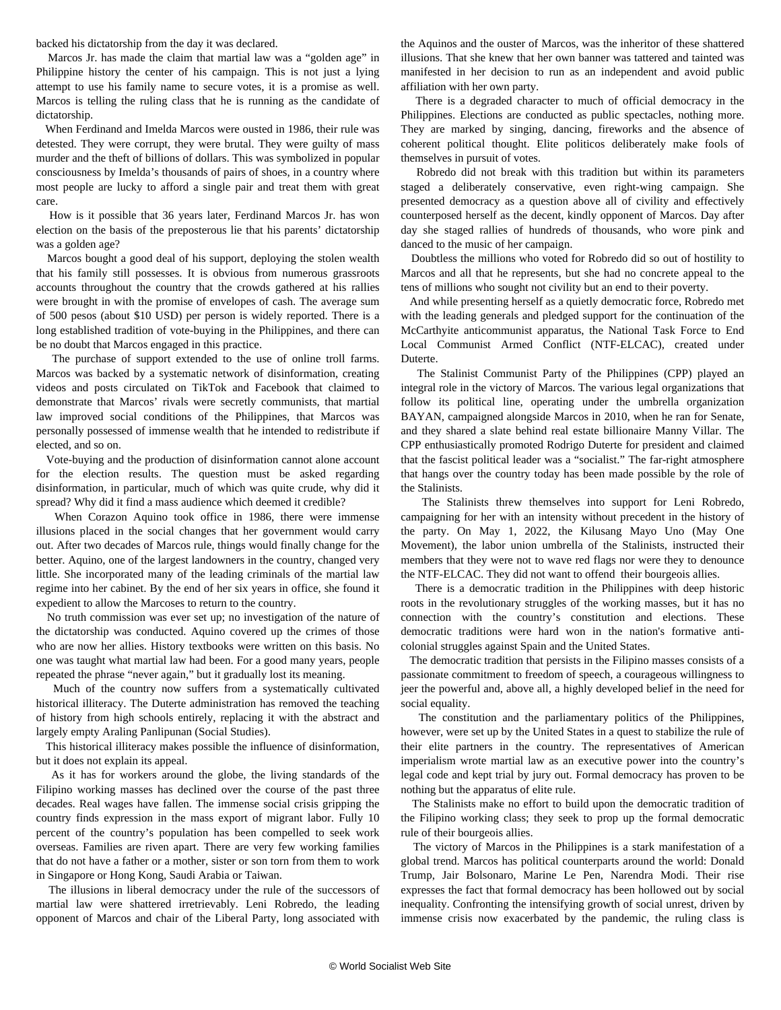backed his dictatorship from the day it was declared.

 Marcos Jr. has made the claim that martial law was a "golden age" in Philippine history the center of his campaign. This is not just a lying attempt to use his family name to secure votes, it is a promise as well. Marcos is telling the ruling class that he is running as the candidate of dictatorship.

 When Ferdinand and Imelda Marcos were ousted in 1986, their rule was detested. They were corrupt, they were brutal. They were guilty of mass murder and the theft of billions of dollars. This was symbolized in popular consciousness by Imelda's thousands of pairs of shoes, in a country where most people are lucky to afford a single pair and treat them with great care.

 How is it possible that 36 years later, Ferdinand Marcos Jr. has won election on the basis of the preposterous lie that his parents' dictatorship was a golden age?

 Marcos bought a good deal of his support, deploying the stolen wealth that his family still possesses. It is obvious from numerous grassroots accounts throughout the country that the crowds gathered at his rallies were brought in with the promise of envelopes of cash. The average sum of 500 pesos (about \$10 USD) per person is widely reported. There is a long established tradition of vote-buying in the Philippines, and there can be no doubt that Marcos engaged in this practice.

 The purchase of support extended to the use of online troll farms. Marcos was backed by a systematic network of disinformation, creating videos and posts circulated on TikTok and Facebook that claimed to demonstrate that Marcos' rivals were secretly communists, that martial law improved social conditions of the Philippines, that Marcos was personally possessed of immense wealth that he intended to redistribute if elected, and so on.

 Vote-buying and the production of disinformation cannot alone account for the election results. The question must be asked regarding disinformation, in particular, much of which was quite crude, why did it spread? Why did it find a mass audience which deemed it credible?

 When Corazon Aquino took office in 1986, there were immense illusions placed in the social changes that her government would carry out. After two decades of Marcos rule, things would finally change for the better. Aquino, one of the largest landowners in the country, changed very little. She incorporated many of the leading criminals of the martial law regime into her cabinet. By the end of her six years in office, she found it expedient to allow the Marcoses to return to the country.

 No truth commission was ever set up; no investigation of the nature of the dictatorship was conducted. Aquino covered up the crimes of those who are now her allies. History textbooks were written on this basis. No one was taught what martial law had been. For a good many years, people repeated the phrase "never again," but it gradually lost its meaning.

 Much of the country now suffers from a systematically cultivated historical illiteracy. The Duterte administration has removed the teaching of history from high schools entirely, replacing it with the abstract and largely empty Araling Panlipunan (Social Studies).

 This historical illiteracy makes possible the influence of disinformation, but it does not explain its appeal.

 As it has for workers around the globe, the living standards of the Filipino working masses has declined over the course of the past three decades. Real wages have fallen. The immense social crisis gripping the country finds expression in the mass export of migrant labor. Fully 10 percent of the country's population has been compelled to seek work overseas. Families are riven apart. There are very few working families that do not have a father or a mother, sister or son torn from them to work in Singapore or Hong Kong, Saudi Arabia or Taiwan.

 The illusions in liberal democracy under the rule of the successors of martial law were shattered irretrievably. Leni Robredo, the leading opponent of Marcos and chair of the Liberal Party, long associated with

the Aquinos and the ouster of Marcos, was the inheritor of these shattered illusions. That she knew that her own banner was tattered and tainted was manifested in her decision to run as an independent and avoid public affiliation with her own party.

 There is a degraded character to much of official democracy in the Philippines. Elections are conducted as public spectacles, nothing more. They are marked by singing, dancing, fireworks and the absence of coherent political thought. Elite politicos deliberately make fools of themselves in pursuit of votes.

 Robredo did not break with this tradition but within its parameters staged a deliberately conservative, even right-wing campaign. She presented democracy as a question above all of civility and effectively counterposed herself as the decent, kindly opponent of Marcos. Day after day she staged rallies of hundreds of thousands, who wore pink and danced to the music of her campaign.

 Doubtless the millions who voted for Robredo did so out of hostility to Marcos and all that he represents, but she had no concrete appeal to the tens of millions who sought not civility but an end to their poverty.

 And while presenting herself as a quietly democratic force, Robredo met with the leading generals and pledged support for the continuation of the McCarthyite anticommunist apparatus, the National Task Force to End Local Communist Armed Conflict (NTF-ELCAC), created under Duterte.

 The Stalinist Communist Party of the Philippines (CPP) played an integral role in the victory of Marcos. The various legal organizations that follow its political line, operating under the umbrella organization BAYAN, campaigned alongside Marcos in 2010, when he ran for Senate, and they shared a slate behind real estate billionaire Manny Villar. The CPP enthusiastically promoted Rodrigo Duterte for president and claimed that the fascist political leader was a "socialist." The far-right atmosphere that hangs over the country today has been made possible by the role of the Stalinists.

 The Stalinists threw themselves into support for Leni Robredo, campaigning for her with an intensity without precedent in the history of the party. On May 1, 2022, the Kilusang Mayo Uno (May One Movement), the labor union umbrella of the Stalinists, instructed their members that they were not to wave red flags nor were they to denounce the NTF-ELCAC. They did not want to offend their bourgeois allies.

 There is a democratic tradition in the Philippines with deep historic roots in the revolutionary struggles of the working masses, but it has no connection with the country's constitution and elections. These democratic traditions were hard won in the nation's formative anticolonial struggles against Spain and the United States.

 The democratic tradition that persists in the Filipino masses consists of a passionate commitment to freedom of speech, a courageous willingness to jeer the powerful and, above all, a highly developed belief in the need for social equality.

 The constitution and the parliamentary politics of the Philippines, however, were set up by the United States in a quest to stabilize the rule of their elite partners in the country. The representatives of American imperialism wrote martial law as an executive power into the country's legal code and kept trial by jury out. Formal democracy has proven to be nothing but the apparatus of elite rule.

 The Stalinists make no effort to build upon the democratic tradition of the Filipino working class; they seek to prop up the formal democratic rule of their bourgeois allies.

 The victory of Marcos in the Philippines is a stark manifestation of a global trend. Marcos has political counterparts around the world: Donald Trump, Jair Bolsonaro, Marine Le Pen, Narendra Modi. Their rise expresses the fact that formal democracy has been hollowed out by social inequality. Confronting the intensifying growth of social unrest, driven by immense crisis now exacerbated by the pandemic, the ruling class is